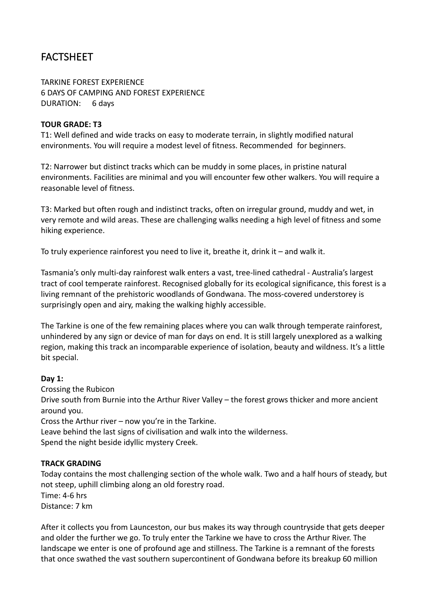# FACTSHEET

TARKINE FOREST EXPERIENCE **6 DAYS OF CAMPING AND FOREST EXPERIENCE** DURATION: 6 days

#### **TOUR GRADE: T3**

T1: Well defined and wide tracks on easy to moderate terrain, in slightly modified natural environments. You will require a modest level of fitness. Recommended for beginners.

T2: Narrower but distinct tracks which can be muddy in some places, in pristine natural environments. Facilities are minimal and you will encounter few other walkers. You will require a reasonable level of fitness.

T3: Marked but often rough and indistinct tracks, often on irregular ground, muddy and wet, in very remote and wild areas. These are challenging walks needing a high level of fitness and some hiking experience.

To truly experience rainforest you need to live it, breathe it, drink it  $-$  and walk it.

Tasmania's only multi-day rainforest walk enters a vast, tree-lined cathedral - Australia's largest tract of cool temperate rainforest. Recognised globally for its ecological significance, this forest is a living remnant of the prehistoric woodlands of Gondwana. The moss-covered understorey is surprisingly open and airy, making the walking highly accessible.

The Tarkine is one of the few remaining places where you can walk through temperate rainforest, unhindered by any sign or device of man for days on end. It is still largely unexplored as a walking region, making this track an incomparable experience of isolation, beauty and wildness. It's a little bit special.

# **Day 1:**

Crossing the Rubicon Drive south from Burnie into the Arthur River Valley – the forest grows thicker and more ancient around you. Cross the Arthur river  $-$  now you're in the Tarkine. Leave behind the last signs of civilisation and walk into the wilderness.

Spend the night beside idyllic mystery Creek.

#### **TRACK GRADING**

Today contains the most challenging section of the whole walk. Two and a half hours of steady, but not steep, uphill climbing along an old forestry road. Time:  $4-6$  hrs Distance: 7 km

After it collects you from Launceston, our bus makes its way through countryside that gets deeper and older the further we go. To truly enter the Tarkine we have to cross the Arthur River. The landscape we enter is one of profound age and stillness. The Tarkine is a remnant of the forests that once swathed the vast southern supercontinent of Gondwana before its breakup 60 million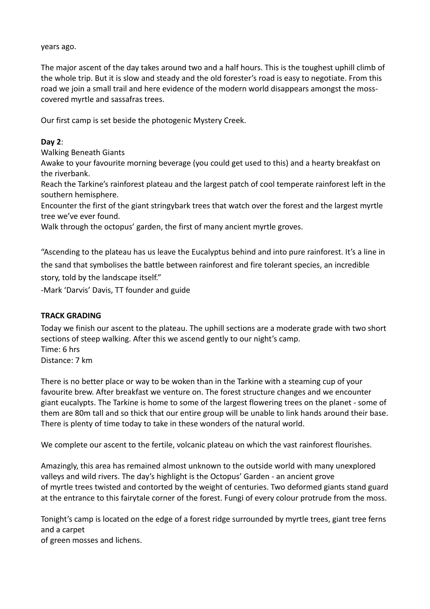years ago.

The major ascent of the day takes around two and a half hours. This is the toughest uphill climb of the whole trip. But it is slow and steady and the old forester's road is easy to negotiate. From this road we join a small trail and here evidence of the modern world disappears amongst the mosscovered myrtle and sassafras trees.

Our first camp is set beside the photogenic Mystery Creek.

#### **Day 2**:

Walking Beneath Giants

Awake to your favourite morning beverage (you could get used to this) and a hearty breakfast on the riverbank.

Reach the Tarkine's rainforest plateau and the largest patch of cool temperate rainforest left in the southern hemisphere.

Encounter the first of the giant stringybark trees that watch over the forest and the largest myrtle tree we've ever found.

Walk through the octopus' garden, the first of many ancient myrtle groves.

"Ascending to the plateau has us leave the Eucalyptus behind and into pure rainforest. It's a line in the sand that symbolises the battle between rainforest and fire tolerant species, an incredible story, told by the landscape itself."

-Mark 'Darvis' Davis, TT founder and guide

#### **TRACK GRADING**

Today we finish our ascent to the plateau. The uphill sections are a moderate grade with two short sections of steep walking. After this we ascend gently to our night's camp. Time: 6 hrs Distance: 7 km

There is no better place or way to be woken than in the Tarkine with a steaming cup of your favourite brew. After breakfast we venture on. The forest structure changes and we encounter giant eucalypts. The Tarkine is home to some of the largest flowering trees on the planet - some of them are 80m tall and so thick that our entire group will be unable to link hands around their base. There is plenty of time today to take in these wonders of the natural world.

We complete our ascent to the fertile, volcanic plateau on which the vast rainforest flourishes.

Amazingly, this area has remained almost unknown to the outside world with many unexplored valleys and wild rivers. The day's highlight is the Octopus' Garden - an ancient grove of myrtle trees twisted and contorted by the weight of centuries. Two deformed giants stand guard at the entrance to this fairytale corner of the forest. Fungi of every colour protrude from the moss.

Tonight's camp is located on the edge of a forest ridge surrounded by myrtle trees, giant tree ferns and a carpet

of green mosses and lichens.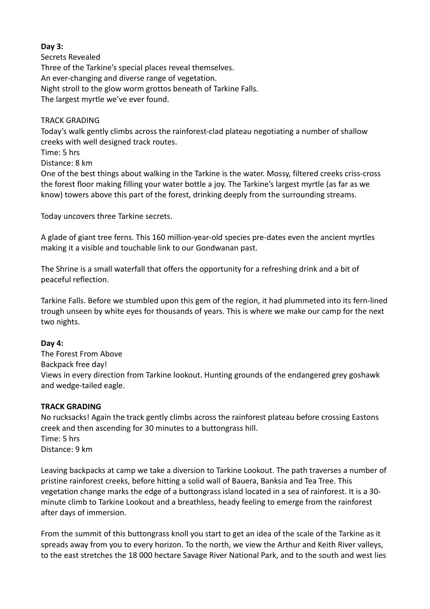## **Day 3:**

Secrets Revealed Three of the Tarkine's special places reveal themselves. An ever-changing and diverse range of vegetation. Night stroll to the glow worm grottos beneath of Tarkine Falls. The largest myrtle we've ever found.

#### TRACK GRADING

Today's walk gently climbs across the rainforest-clad plateau negotiating a number of shallow creeks with well designed track routes.

Time: 5 hrs

Distance: 8 km

One of the best things about walking in the Tarkine is the water. Mossy, filtered creeks criss-cross the forest floor making filling your water bottle a joy. The Tarkine's largest myrtle (as far as we know) towers above this part of the forest, drinking deeply from the surrounding streams.

Today uncovers three Tarkine secrets.

A glade of giant tree ferns. This 160 million-year-old species pre-dates even the ancient myrtles making it a visible and touchable link to our Gondwanan past.

The Shrine is a small waterfall that offers the opportunity for a refreshing drink and a bit of peaceful reflection.

Tarkine Falls. Before we stumbled upon this gem of the region, it had plummeted into its fern-lined trough unseen by white eyes for thousands of years. This is where we make our camp for the next two nights.

#### **Day 4:**

The Forest From Above Backpack free day! Views in every direction from Tarkine lookout. Hunting grounds of the endangered grey goshawk and wedge-tailed eagle.

#### **TRACK GRADING**

No rucksacks! Again the track gently climbs across the rainforest plateau before crossing Eastons creek and then ascending for 30 minutes to a buttongrass hill. Time: 5 hrs Distance: 9 km

Leaving backpacks at camp we take a diversion to Tarkine Lookout. The path traverses a number of pristine rainforest creeks, before hitting a solid wall of Bauera, Banksia and Tea Tree. This vegetation change marks the edge of a buttongrass island located in a sea of rainforest. It is a 30minute climb to Tarkine Lookout and a breathless, heady feeling to emerge from the rainforest after days of immersion.

From the summit of this buttongrass knoll you start to get an idea of the scale of the Tarkine as it spreads away from you to every horizon. To the north, we view the Arthur and Keith River valleys, to the east stretches the 18 000 hectare Savage River National Park, and to the south and west lies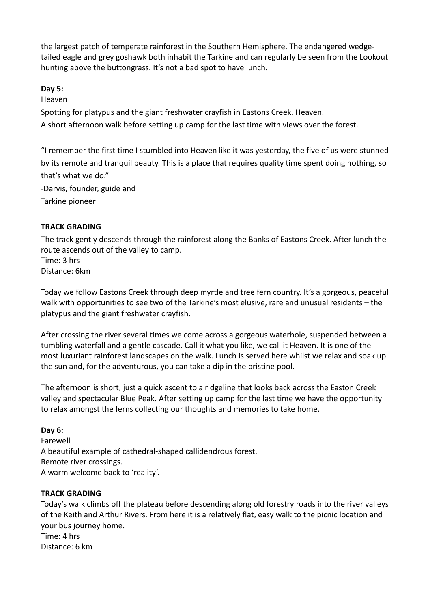the largest patch of temperate rainforest in the Southern Hemisphere. The endangered wedgetailed eagle and grey goshawk both inhabit the Tarkine and can regularly be seen from the Lookout hunting above the buttongrass. It's not a bad spot to have lunch.

# **Day 5:**

Heaven

Spotting for platypus and the giant freshwater crayfish in Eastons Creek. Heaven.

A short afternoon walk before setting up camp for the last time with views over the forest.

"I remember the first time I stumbled into Heaven like it was yesterday, the five of us were stunned by its remote and tranquil beauty. This is a place that requires quality time spent doing nothing, so that's what we do."

-Darvis, founder, guide and Tarkine pioneer

# **TRACK GRADING**

The track gently descends through the rainforest along the Banks of Eastons Creek. After lunch the route ascends out of the valley to camp. Time: 3 hrs

Distance: 6km

Today we follow Eastons Creek through deep myrtle and tree fern country. It's a gorgeous, peaceful walk with opportunities to see two of the Tarkine's most elusive, rare and unusual residents – the platypus and the giant freshwater crayfish.

After crossing the river several times we come across a gorgeous waterhole, suspended between a tumbling waterfall and a gentle cascade. Call it what you like, we call it Heaven. It is one of the most luxuriant rainforest landscapes on the walk. Lunch is served here whilst we relax and soak up the sun and, for the adventurous, you can take a dip in the pristine pool.

The afternoon is short, just a quick ascent to a ridgeline that looks back across the Easton Creek valley and spectacular Blue Peak. After setting up camp for the last time we have the opportunity to relax amongst the ferns collecting our thoughts and memories to take home.

# **Day 6:**

Farewell A beautiful example of cathedral-shaped callidendrous forest. Remote river crossings. A warm welcome back to 'reality'.

# **TRACK GRADING**

Today's walk climbs off the plateau before descending along old forestry roads into the river valleys of the Keith and Arthur Rivers. From here it is a relatively flat, easy walk to the picnic location and your bus journey home. Time: 4 hrs Distance: 6 km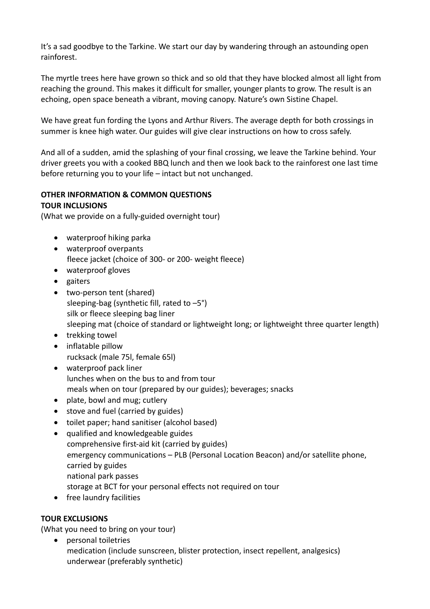It's a sad goodbye to the Tarkine. We start our day by wandering through an astounding open rainforest.

The myrtle trees here have grown so thick and so old that they have blocked almost all light from reaching the ground. This makes it difficult for smaller, younger plants to grow. The result is an echoing, open space beneath a vibrant, moving canopy. Nature's own Sistine Chapel.

We have great fun fording the Lyons and Arthur Rivers. The average depth for both crossings in summer is knee high water. Our guides will give clear instructions on how to cross safely.

And all of a sudden, amid the splashing of your final crossing, we leave the Tarkine behind. Your driver greets you with a cooked BBQ lunch and then we look back to the rainforest one last time before returning you to your life  $-$  intact but not unchanged.

# **OTHER INFORMATION & COMMON QUESTIONS TOUR INCLUSIONS**

(What we provide on a fully-guided overnight tour)

- waterproof hiking parka
- waterproof overpants fleece jacket (choice of 300- or 200- weight fleece)
- waterproof gloves
- gaiters
- two-person tent (shared) sleeping-bag (synthetic fill, rated to  $-5^{\circ}$ ) silk or fleece sleeping bag liner sleeping mat (choice of standard or lightweight long; or lightweight three quarter length)
- trekking towel
- inflatable pillow rucksack (male 75l, female 65l)
- waterproof pack liner lunches when on the bus to and from tour meals when on tour (prepared by our guides); beverages; snacks
- $\bullet$  plate, bowl and mug; cutlery
- stove and fuel (carried by guides)
- toilet paper; hand sanitiser (alcohol based)
- qualified and knowledgeable guides comprehensive first-aid kit (carried by guides) emergency communications - PLB (Personal Location Beacon) and/or satellite phone, carried by guides national park passes storage at BCT for your personal effects not required on tour
- free laundry facilities

# **TOUR EXCLUSIONS**

(What you need to bring on your tour)

• personal toiletries medication (include sunscreen, blister protection, insect repellent, analgesics) underwear (preferably synthetic)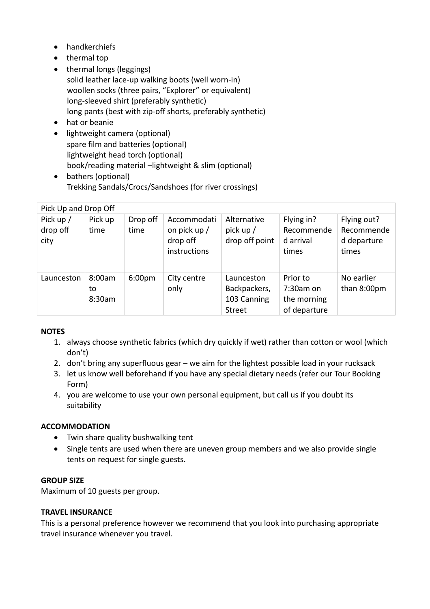- handkerchiefs
- $\bullet$  thermal top
- thermal longs (leggings) solid leather lace-up walking boots (well worn-in) woollen socks (three pairs, "Explorer" or equivalent) long-sleeved shirt (preferably synthetic) long pants (best with zip-off shorts, preferably synthetic)
- hat or beanie
- lightweight camera (optional) spare film and batteries (optional) lightweight head torch (optional) book/reading material -lightweight & slim (optional)
- bathers (optional) Trekking Sandals/Crocs/Sandshoes (for river crossings)

| Pick Up and Drop Off          |                        |                    |                                                         |                                                            |                                                      |                                                   |  |  |  |
|-------------------------------|------------------------|--------------------|---------------------------------------------------------|------------------------------------------------------------|------------------------------------------------------|---------------------------------------------------|--|--|--|
| Pick up /<br>drop off<br>city | Pick up<br>time        | Drop off<br>time   | Accommodati<br>on pick up /<br>drop off<br>instructions | Alternative<br>pick up $/$<br>drop off point               | Flying in?<br>Recommende<br>d arrival<br>times       | Flying out?<br>Recommende<br>d departure<br>times |  |  |  |
| Launceston                    | 8:00am<br>to<br>8:30am | 6:00 <sub>pm</sub> | City centre<br>only                                     | Launceston<br>Backpackers,<br>103 Canning<br><b>Street</b> | Prior to<br>7:30am on<br>the morning<br>of departure | No earlier<br>than 8:00pm                         |  |  |  |

# **NOTES**

- 1. always choose synthetic fabrics (which dry quickly if wet) rather than cotton or wool (which don't)
- 2. don't bring any superfluous gear we aim for the lightest possible load in your rucksack
- 3. let us know well beforehand if you have any special dietary needs (refer our Tour Booking Form)
- 4. you are welcome to use your own personal equipment, but call us if you doubt its suitability

# **ACCOMMODATION**

- Twin share quality bushwalking tent
- Single tents are used when there are uneven group members and we also provide single tents on request for single guests.

# **GROUP SIZE**

Maximum of 10 guests per group.

# **TRAVEL INSURANCE**

This is a personal preference however we recommend that you look into purchasing appropriate travel insurance whenever you travel.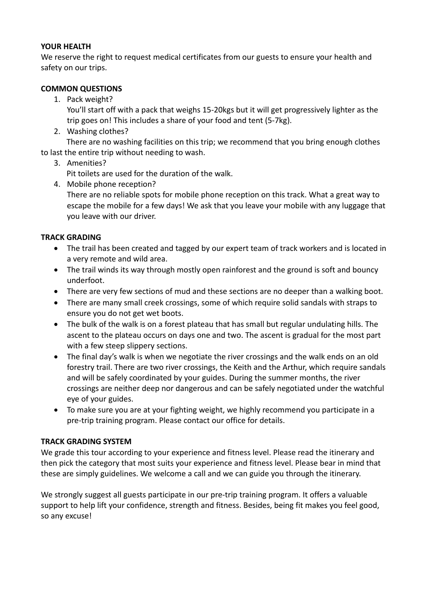## **YOUR HEALTH**

We reserve the right to request medical certificates from our guests to ensure your health and safety on our trips.

## **COMMON QUESTIONS**

1. Pack weight?

You'll start off with a pack that weighs 15-20kgs but it will get progressively lighter as the trip goes on! This includes a share of your food and tent (5-7kg).

2. Washing clothes?

There are no washing facilities on this trip; we recommend that you bring enough clothes to last the entire trip without needing to wash.

## 3. Amenities?

Pit toilets are used for the duration of the walk.

4. Mobile phone reception?

There are no reliable spots for mobile phone reception on this track. What a great way to escape the mobile for a few days! We ask that you leave your mobile with any luggage that you leave with our driver.

## **TRACK GRADING**

- The trail has been created and tagged by our expert team of track workers and is located in a very remote and wild area.
- The trail winds its way through mostly open rainforest and the ground is soft and bouncy underfoot.
- There are very few sections of mud and these sections are no deeper than a walking boot.
- There are many small creek crossings, some of which require solid sandals with straps to ensure you do not get wet boots.
- The bulk of the walk is on a forest plateau that has small but regular undulating hills. The ascent to the plateau occurs on days one and two. The ascent is gradual for the most part with a few steep slippery sections.
- The final day's walk is when we negotiate the river crossings and the walk ends on an old forestry trail. There are two river crossings, the Keith and the Arthur, which require sandals and will be safely coordinated by your guides. During the summer months, the river crossings are neither deep nor dangerous and can be safely negotiated under the watchful eye of your guides.
- To make sure you are at your fighting weight, we highly recommend you participate in a pre-trip training program. Please contact our office for details.

#### **TRACK GRADING SYSTEM**

We grade this tour according to your experience and fitness level. Please read the itinerary and then pick the category that most suits your experience and fitness level. Please bear in mind that these are simply guidelines. We welcome a call and we can guide you through the itinerary.

We strongly suggest all guests participate in our pre-trip training program. It offers a valuable support to help lift your confidence, strength and fitness. Besides, being fit makes you feel good, so any excuse!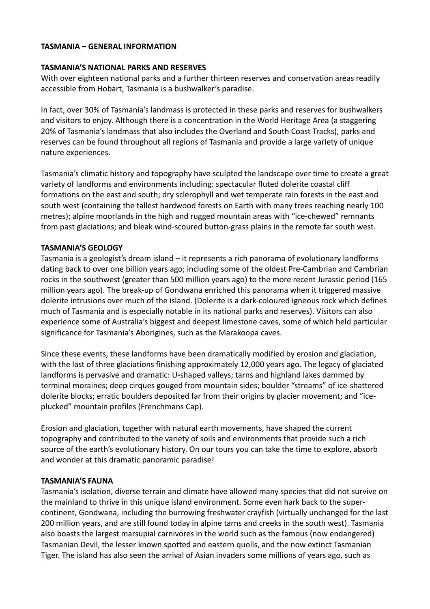#### **TASMANIA – GENERAL INFORMATION**

#### **TASMANIA'S NATIONAL PARKS AND RESERVES**

With over eighteen national parks and a further thirteen reserves and conservation areas readily accessible from Hobart, Tasmania is a bushwalker's paradise.

In fact, over 30% of Tasmania's landmass is protected in these parks and reserves for bushwalkers and visitors to enjoy. Although there is a concentration in the World Heritage Area (a staggering 20% of Tasmania's landmass that also includes the Overland and South Coast Tracks), parks and reserves can be found throughout all regions of Tasmania and provide a large variety of unique nature experiences.

Tasmania's climatic history and topography have sculpted the landscape over time to create a great variety of landforms and environments including: spectacular fluted dolerite coastal cliff formations on the east and south; dry sclerophyll and wet temperate rain forests in the east and south west (containing the tallest hardwood forests on Earth with many trees reaching nearly 100 metres); alpine moorlands in the high and rugged mountain areas with "ice-chewed" remnants from past glaciations; and bleak wind-scoured button-grass plains in the remote far south west.

## **TASMANIA'S GEOLOGY**

Tasmania is a geologist's dream island  $-$  it represents a rich panorama of evolutionary landforms dating back to over one billion years ago; including some of the oldest Pre-Cambrian and Cambrian rocks in the southwest (greater than 500 million years ago) to the more recent Jurassic period (165 million years ago). The break-up of Gondwana enriched this panorama when it triggered massive dolerite intrusions over much of the island. (Dolerite is a dark-coloured igneous rock which defines much of Tasmania and is especially notable in its national parks and reserves). Visitors can also experience some of Australia's biggest and deepest limestone caves, some of which held particular significance for Tasmania's Aborigines, such as the Marakoopa caves.

Since these events, these landforms have been dramatically modified by erosion and glaciation, with the last of three glaciations finishing approximately 12,000 years ago. The legacy of glaciated landforms is pervasive and dramatic: U-shaped valleys; tarns and highland lakes dammed by terminal moraines; deep cirques gouged from mountain sides; boulder "streams" of ice-shattered dolerite blocks; erratic boulders deposited far from their origins by glacier movement; and "iceplucked" mountain profiles (Frenchmans Cap).

Erosion and glaciation, together with natural earth movements, have shaped the current topography and contributed to the variety of soils and environments that provide such a rich source of the earth's evolutionary history. On our tours you can take the time to explore, absorb and wonder at this dramatic panoramic paradise!

#### **TASMANIA'S FAUNA**

Tasmania's isolation, diverse terrain and climate have allowed many species that did not survive on the mainland to thrive in this unique island environment. Some even hark back to the supercontinent, Gondwana, including the burrowing freshwater crayfish (virtually unchanged for the last 200 million years, and are still found today in alpine tarns and creeks in the south west). Tasmania also boasts the largest marsupial carnivores in the world such as the famous (now endangered) Tasmanian Devil, the lesser known spotted and eastern quolls, and the now extinct Tasmanian Tiger. The island has also seen the arrival of Asian invaders some millions of years ago, such as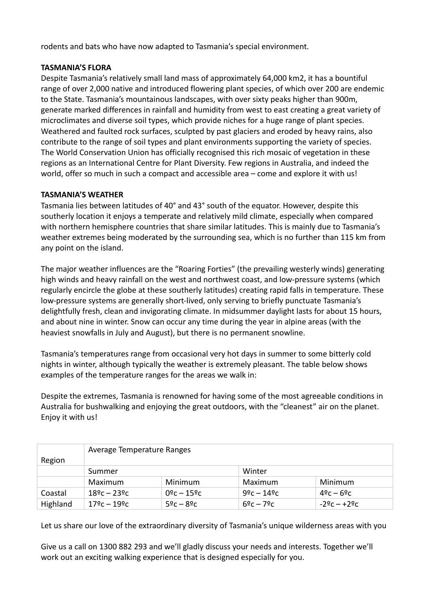rodents and bats who have now adapted to Tasmania's special environment.

# **TASMANIA'S FLORA**

Despite Tasmania's relatively small land mass of approximately 64,000 km2, it has a bountiful range of over 2,000 native and introduced flowering plant species, of which over 200 are endemic to the State. Tasmania's mountainous landscapes, with over sixty peaks higher than 900m, generate marked differences in rainfall and humidity from west to east creating a great variety of microclimates and diverse soil types, which provide niches for a huge range of plant species. Weathered and faulted rock surfaces, sculpted by past glaciers and eroded by heavy rains, also contribute to the range of soil types and plant environments supporting the variety of species. The World Conservation Union has officially recognised this rich mosaic of vegetation in these regions as an International Centre for Plant Diversity. Few regions in Australia, and indeed the world, offer so much in such a compact and accessible area  $-$  come and explore it with us!

## **TASMANIA'S WEATHER**

Tasmania lies between latitudes of 40° and 43° south of the equator. However, despite this southerly location it enjoys a temperate and relatively mild climate, especially when compared with northern hemisphere countries that share similar latitudes. This is mainly due to Tasmania's weather extremes being moderated by the surrounding sea, which is no further than 115 km from any point on the island.

The major weather influences are the "Roaring Forties" (the prevailing westerly winds) generating high winds and heavy rainfall on the west and northwest coast, and low-pressure systems (which regularly encircle the globe at these southerly latitudes) creating rapid falls in temperature. These low-pressure systems are generally short-lived, only serving to briefly punctuate Tasmania's delightfully fresh, clean and invigorating climate. In midsummer daylight lasts for about 15 hours, and about nine in winter. Snow can occur any time during the year in alpine areas (with the heaviest snowfalls in July and August), but there is no permanent snowline.

Tasmania's temperatures range from occasional very hot days in summer to some bitterly cold nights in winter, although typically the weather is extremely pleasant. The table below shows examples of the temperature ranges for the areas we walk in:

Despite the extremes, Tasmania is renowned for having some of the most agreeable conditions in Australia for bushwalking and enjoying the great outdoors, with the "cleanest" air on the planet. Enjoy it with us!

|          | Average Temperature Ranges             |                       |                                 |               |  |  |  |  |
|----------|----------------------------------------|-----------------------|---------------------------------|---------------|--|--|--|--|
| Region   |                                        |                       |                                 |               |  |  |  |  |
|          | Summer                                 |                       | Winter                          |               |  |  |  |  |
|          | Maximum                                | <b>Minimum</b>        | Maximum                         | Minimum       |  |  |  |  |
| Coastal  | $18\frac{6}{5}$ c – 23 $\frac{6}{5}$ c | $0^{\circ}$ c – 15° c | $9^{\circ}$ c – 14 $^{\circ}$ c | $49c - 69c$   |  |  |  |  |
| Highland | 17ºc – 19ºc                            | $52c - 82c$           | $69c - 79c$                     | $-29c - +29c$ |  |  |  |  |

Let us share our love of the extraordinary diversity of Tasmania's unique wilderness areas with you

Give us a call on 1300 882 293 and we'll gladly discuss your needs and interests. Together we'll work out an exciting walking experience that is designed especially for you.